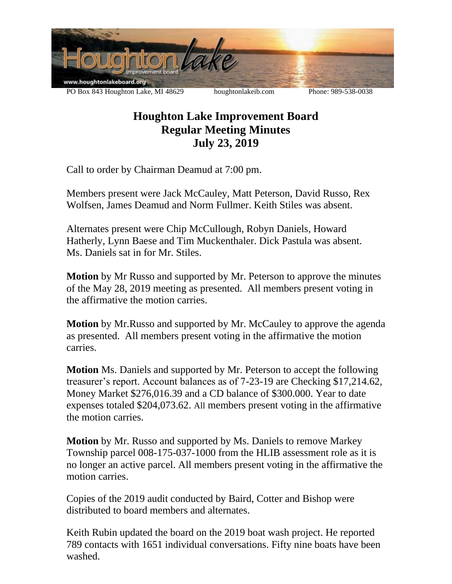

## **Houghton Lake Improvement Board Regular Meeting Minutes July 23, 2019**

Call to order by Chairman Deamud at 7:00 pm.

Members present were Jack McCauley, Matt Peterson, David Russo, Rex Wolfsen, James Deamud and Norm Fullmer. Keith Stiles was absent.

Alternates present were Chip McCullough, Robyn Daniels, Howard Hatherly, Lynn Baese and Tim Muckenthaler. Dick Pastula was absent. Ms. Daniels sat in for Mr. Stiles.

**Motion** by Mr Russo and supported by Mr. Peterson to approve the minutes of the May 28, 2019 meeting as presented. All members present voting in the affirmative the motion carries.

**Motion** by Mr.Russo and supported by Mr. McCauley to approve the agenda as presented. All members present voting in the affirmative the motion carries.

**Motion** Ms. Daniels and supported by Mr. Peterson to accept the following treasurer's report. Account balances as of 7-23-19 are Checking \$17,214.62, Money Market \$276,016.39 and a CD balance of \$300.000. Year to date expenses totaled \$204,073.62. All members present voting in the affirmative the motion carries.

**Motion** by Mr. Russo and supported by Ms. Daniels to remove Markey Township parcel 008-175-037-1000 from the HLIB assessment role as it is no longer an active parcel. All members present voting in the affirmative the motion carries.

Copies of the 2019 audit conducted by Baird, Cotter and Bishop were distributed to board members and alternates.

Keith Rubin updated the board on the 2019 boat wash project. He reported 789 contacts with 1651 individual conversations. Fifty nine boats have been washed.